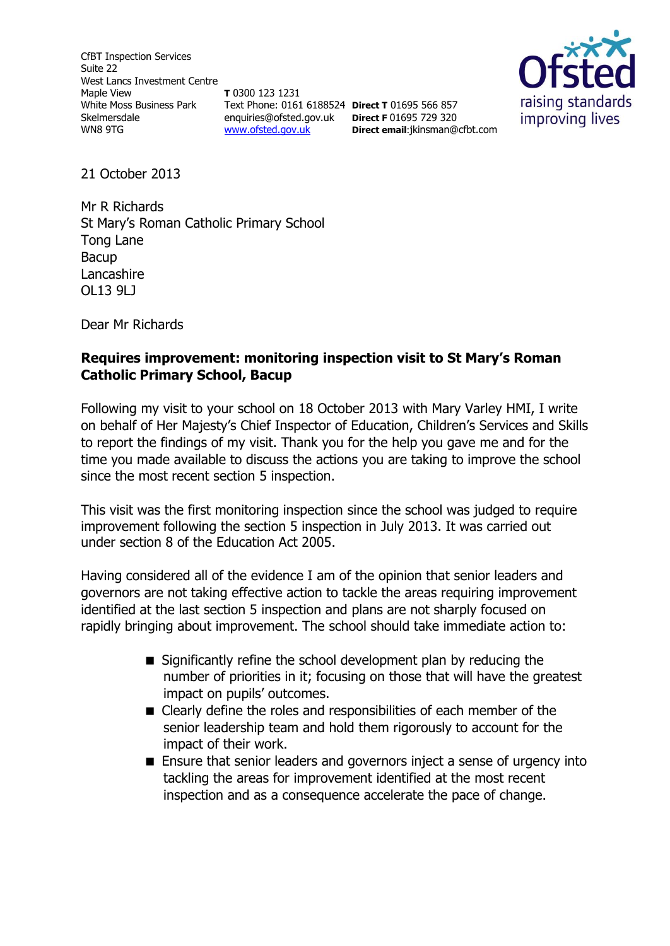CfBT Inspection Services Suite 22 West Lancs Investment Centre Maple View White Moss Business Park Skelmersdale WN8 9TG

**T** 0300 123 1231 Text Phone: 0161 6188524 **Direct T** 01695 566 857 enquiries@ofsted.gov.uk **Direct F** 01695 729 320 [www.ofsted.gov.uk](http://www.ofsted.gov.uk/)



21 October 2013

Mr R Richards St Mary's Roman Catholic Primary School Tong Lane Bacup Lancashire OL13 9LJ

Dear Mr Richards

### **Requires improvement: monitoring inspection visit to St Mary's Roman Catholic Primary School, Bacup**

**Direct email**:jkinsman@cfbt.com

Following my visit to your school on 18 October 2013 with Mary Varley HMI, I write on behalf of Her Majesty's Chief Inspector of Education, Children's Services and Skills to report the findings of my visit. Thank you for the help you gave me and for the time you made available to discuss the actions you are taking to improve the school since the most recent section 5 inspection.

This visit was the first monitoring inspection since the school was judged to require improvement following the section 5 inspection in July 2013. It was carried out under section 8 of the Education Act 2005.

Having considered all of the evidence I am of the opinion that senior leaders and governors are not taking effective action to tackle the areas requiring improvement identified at the last section 5 inspection and plans are not sharply focused on rapidly bringing about improvement. The school should take immediate action to:

- Significantly refine the school development plan by reducing the number of priorities in it; focusing on those that will have the greatest impact on pupils' outcomes.
- Clearly define the roles and responsibilities of each member of the senior leadership team and hold them rigorously to account for the impact of their work.
- Ensure that senior leaders and governors inject a sense of urgency into tackling the areas for improvement identified at the most recent inspection and as a consequence accelerate the pace of change.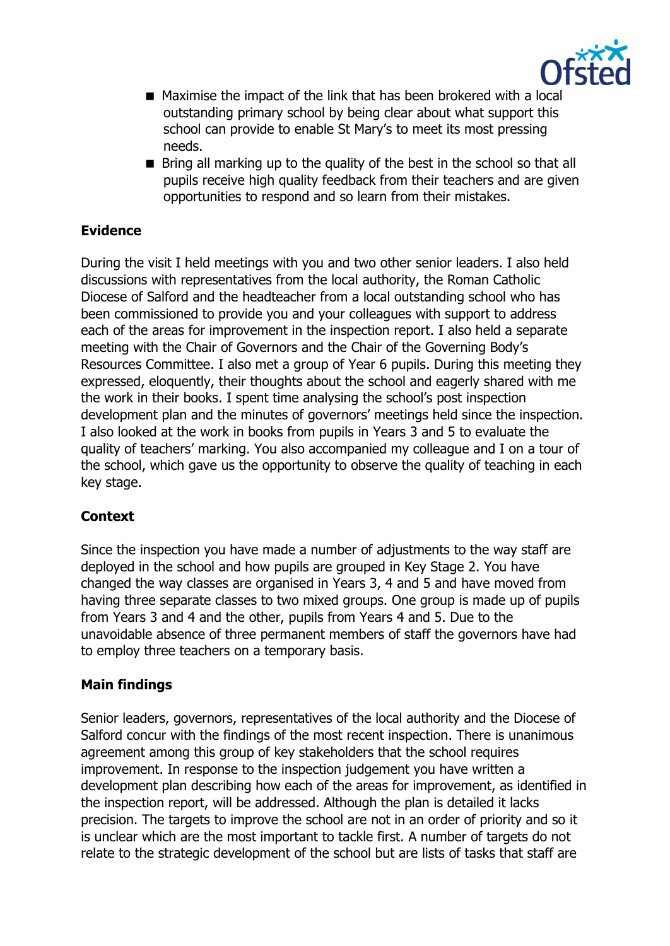

- Maximise the impact of the link that has been brokered with a local outstanding primary school by being clear about what support this school can provide to enable St Mary's to meet its most pressing needs.
- $\blacksquare$  Bring all marking up to the quality of the best in the school so that all pupils receive high quality feedback from their teachers and are given opportunities to respond and so learn from their mistakes.

# **Evidence**

During the visit I held meetings with you and two other senior leaders. I also held discussions with representatives from the local authority, the Roman Catholic Diocese of Salford and the headteacher from a local outstanding school who has been commissioned to provide you and your colleagues with support to address each of the areas for improvement in the inspection report. I also held a separate meeting with the Chair of Governors and the Chair of the Governing Body's Resources Committee. I also met a group of Year 6 pupils. During this meeting they expressed, eloquently, their thoughts about the school and eagerly shared with me the work in their books. I spent time analysing the school's post inspection development plan and the minutes of governors' meetings held since the inspection. I also looked at the work in books from pupils in Years 3 and 5 to evaluate the quality of teachers' marking. You also accompanied my colleague and I on a tour of the school, which gave us the opportunity to observe the quality of teaching in each key stage.

# **Context**

Since the inspection you have made a number of adjustments to the way staff are deployed in the school and how pupils are grouped in Key Stage 2. You have changed the way classes are organised in Years 3, 4 and 5 and have moved from having three separate classes to two mixed groups. One group is made up of pupils from Years 3 and 4 and the other, pupils from Years 4 and 5. Due to the unavoidable absence of three permanent members of staff the governors have had to employ three teachers on a temporary basis.

# **Main findings**

Senior leaders, governors, representatives of the local authority and the Diocese of Salford concur with the findings of the most recent inspection. There is unanimous agreement among this group of key stakeholders that the school requires improvement. In response to the inspection judgement you have written a development plan describing how each of the areas for improvement, as identified in the inspection report, will be addressed. Although the plan is detailed it lacks precision. The targets to improve the school are not in an order of priority and so it is unclear which are the most important to tackle first. A number of targets do not relate to the strategic development of the school but are lists of tasks that staff are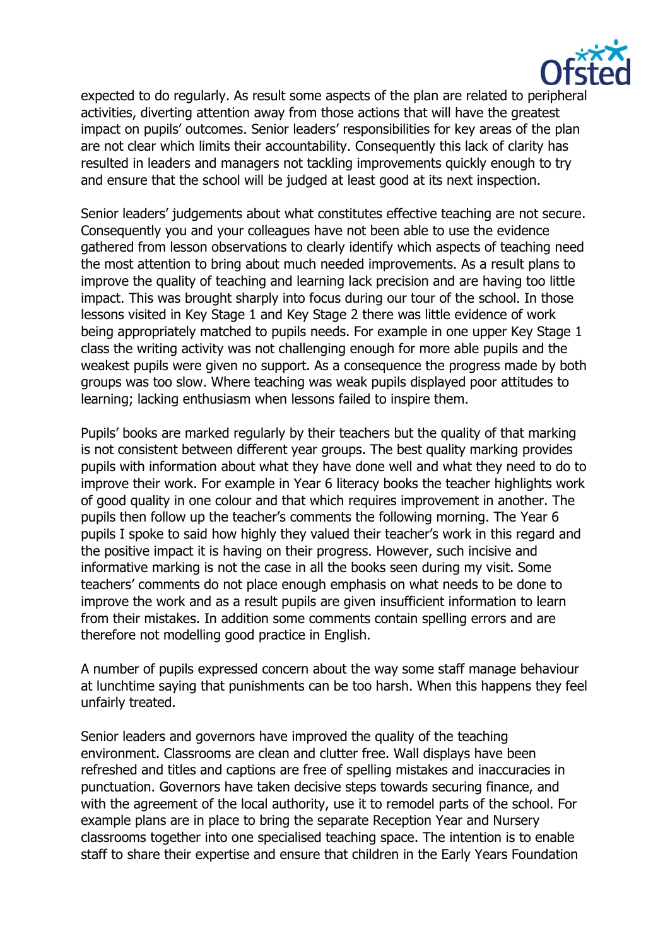

expected to do regularly. As result some aspects of the plan are related to peripheral activities, diverting attention away from those actions that will have the greatest impact on pupils' outcomes. Senior leaders' responsibilities for key areas of the plan are not clear which limits their accountability. Consequently this lack of clarity has resulted in leaders and managers not tackling improvements quickly enough to try and ensure that the school will be judged at least good at its next inspection.

Senior leaders' judgements about what constitutes effective teaching are not secure. Consequently you and your colleagues have not been able to use the evidence gathered from lesson observations to clearly identify which aspects of teaching need the most attention to bring about much needed improvements. As a result plans to improve the quality of teaching and learning lack precision and are having too little impact. This was brought sharply into focus during our tour of the school. In those lessons visited in Key Stage 1 and Key Stage 2 there was little evidence of work being appropriately matched to pupils needs. For example in one upper Key Stage 1 class the writing activity was not challenging enough for more able pupils and the weakest pupils were given no support. As a consequence the progress made by both groups was too slow. Where teaching was weak pupils displayed poor attitudes to learning; lacking enthusiasm when lessons failed to inspire them.

Pupils' books are marked regularly by their teachers but the quality of that marking is not consistent between different year groups. The best quality marking provides pupils with information about what they have done well and what they need to do to improve their work. For example in Year 6 literacy books the teacher highlights work of good quality in one colour and that which requires improvement in another. The pupils then follow up the teacher's comments the following morning. The Year 6 pupils I spoke to said how highly they valued their teacher's work in this regard and the positive impact it is having on their progress. However, such incisive and informative marking is not the case in all the books seen during my visit. Some teachers' comments do not place enough emphasis on what needs to be done to improve the work and as a result pupils are given insufficient information to learn from their mistakes. In addition some comments contain spelling errors and are therefore not modelling good practice in English.

A number of pupils expressed concern about the way some staff manage behaviour at lunchtime saying that punishments can be too harsh. When this happens they feel unfairly treated.

Senior leaders and governors have improved the quality of the teaching environment. Classrooms are clean and clutter free. Wall displays have been refreshed and titles and captions are free of spelling mistakes and inaccuracies in punctuation. Governors have taken decisive steps towards securing finance, and with the agreement of the local authority, use it to remodel parts of the school. For example plans are in place to bring the separate Reception Year and Nursery classrooms together into one specialised teaching space. The intention is to enable staff to share their expertise and ensure that children in the Early Years Foundation